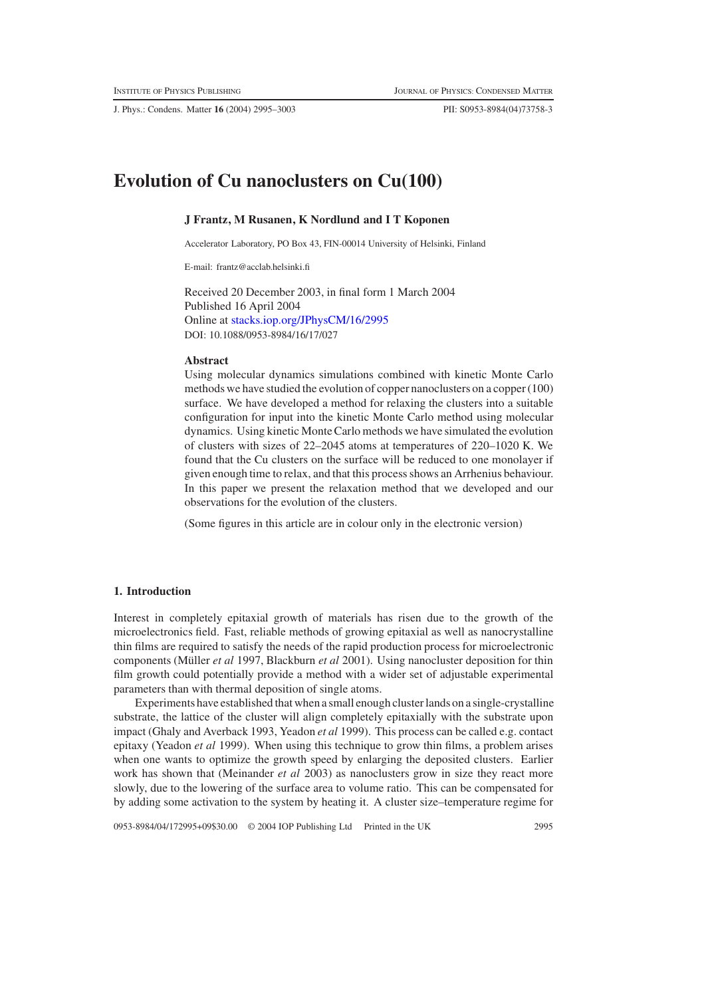J. Phys.: Condens. Matter **16** (2004) 2995–3003 PII: S0953-8984(04)73758-3

# **Evolution of Cu nanoclusters on Cu(100)**

# **J Frantz, M Rusanen, K Nordlund and I T Koponen**

Accelerator Laboratory, PO Box 43, FIN-00014 University of Helsinki, Finland

E-mail: frantz@acclab.helsinki.fi

Received 20 December 2003, in final form 1 March 2004 Published 16 April 2004 Online at [stacks.iop.org/JPhysCM/16/2995](http://stacks.iop.org/JPhysCM/16/2995) DOI: 10.1088/0953-8984/16/17/027

### **Abstract**

Using molecular dynamics simulations combined with kinetic Monte Carlo methods we have studied the evolution of copper nanoclusters on a copper (100) surface. We have developed a method for relaxing the clusters into a suitable configuration for input into the kinetic Monte Carlo method using molecular dynamics. Using kinetic Monte Carlo methods we have simulated the evolution of clusters with sizes of 22–2045 atoms at temperatures of 220–1020 K. We found that the Cu clusters on the surface will be reduced to one monolayer if given enough time to relax, and that this process shows an Arrhenius behaviour. In this paper we present the relaxation method that we developed and our observations for the evolution of the clusters.

(Some figures in this article are in colour only in the electronic version)

### **1. Introduction**

Interest in completely epitaxial growth of materials has risen due to the growth of the microelectronics field. Fast, reliable methods of growing epitaxial as well as nanocrystalline thin films are required to satisfy the needs of the rapid production process for microelectronic components (Müller *et al* 1997, Blackburn *et al* 2001). Using nanocluster deposition for thin film growth could potentially provide a method with a wider set of adjustable experimental parameters than with thermal deposition of single atoms.

Experiments have established that when a small enough cluster lands on a single-crystalline substrate, the lattice of the cluster will align completely epitaxially with the substrate upon impact (Ghaly and Averback 1993, Yeadon *et al* 1999). This process can be called e.g. contact epitaxy (Yeadon *et al* 1999). When using this technique to grow thin films, a problem arises when one wants to optimize the growth speed by enlarging the deposited clusters. Earlier work has shown that (Meinander *et al* 2003) as nanoclusters grow in size they react more slowly, due to the lowering of the surface area to volume ratio. This can be compensated for by adding some activation to the system by heating it. A cluster size–temperature regime for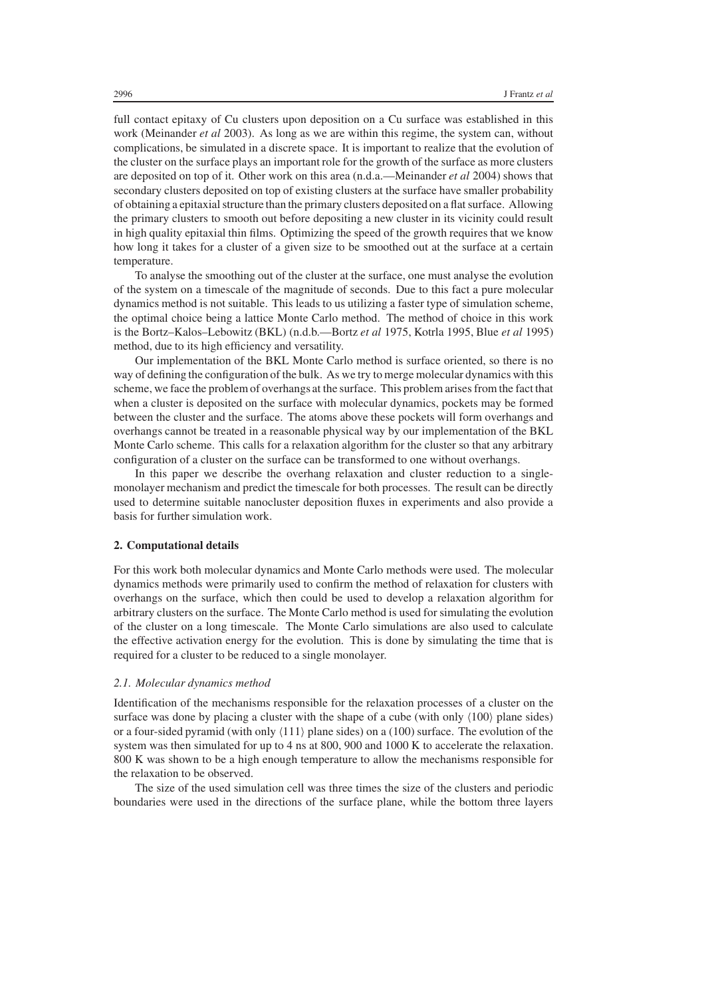full contact epitaxy of Cu clusters upon deposition on a Cu surface was established in this work (Meinander *et al* 2003). As long as we are within this regime, the system can, without complications, be simulated in a discrete space. It is important to realize that the evolution of the cluster on the surface plays an important role for the growth of the surface as more clusters are deposited on top of it. Other work on this area (n.d.a.—Meinander *et al* 2004) shows that secondary clusters deposited on top of existing clusters at the surface have smaller probability of obtaining a epitaxialstructure than the primary clusters deposited on a flat surface. Allowing the primary clusters to smooth out before depositing a new cluster in its vicinity could result in high quality epitaxial thin films. Optimizing the speed of the growth requires that we know how long it takes for a cluster of a given size to be smoothed out at the surface at a certain temperature.

To analyse the smoothing out of the cluster at the surface, one must analyse the evolution of the system on a timescale of the magnitude of seconds. Due to this fact a pure molecular dynamics method is not suitable. This leads to us utilizing a faster type of simulation scheme, the optimal choice being a lattice Monte Carlo method. The method of choice in this work is the Bortz–Kalos–Lebowitz (BKL) (n.d.b.—Bortz *et al* 1975, Kotrla 1995, Blue *et al* 1995) method, due to its high efficiency and versatility.

Our implementation of the BKL Monte Carlo method is surface oriented, so there is no way of defining the configuration of the bulk. As we try to merge molecular dynamics with this scheme, we face the problem of overhangs at the surface. This problem arises from the fact that when a cluster is deposited on the surface with molecular dynamics, pockets may be formed between the cluster and the surface. The atoms above these pockets will form overhangs and overhangs cannot be treated in a reasonable physical way by our implementation of the BKL Monte Carlo scheme. This calls for a relaxation algorithm for the cluster so that any arbitrary configuration of a cluster on the surface can be transformed to one without overhangs.

In this paper we describe the overhang relaxation and cluster reduction to a singlemonolayer mechanism and predict the timescale for both processes. The result can be directly used to determine suitable nanocluster deposition fluxes in experiments and also provide a basis for further simulation work.

### **2. Computational details**

For this work both molecular dynamics and Monte Carlo methods were used. The molecular dynamics methods were primarily used to confirm the method of relaxation for clusters with overhangs on the surface, which then could be used to develop a relaxation algorithm for arbitrary clusters on the surface. The Monte Carlo method is used for simulating the evolution of the cluster on a long timescale. The Monte Carlo simulations are also used to calculate the effective activation energy for the evolution. This is done by simulating the time that is required for a cluster to be reduced to a single monolayer.

# *2.1. Molecular dynamics method*

Identification of the mechanisms responsible for the relaxation processes of a cluster on the surface was done by placing a cluster with the shape of a cube (with only  $\langle 100 \rangle$  plane sides) or a four-sided pyramid (with only  $\langle 111 \rangle$  plane sides) on a (100) surface. The evolution of the system was then simulated for up to 4 ns at 800, 900 and 1000 K to accelerate the relaxation. 800 K was shown to be a high enough temperature to allow the mechanisms responsible for the relaxation to be observed.

The size of the used simulation cell was three times the size of the clusters and periodic boundaries were used in the directions of the surface plane, while the bottom three layers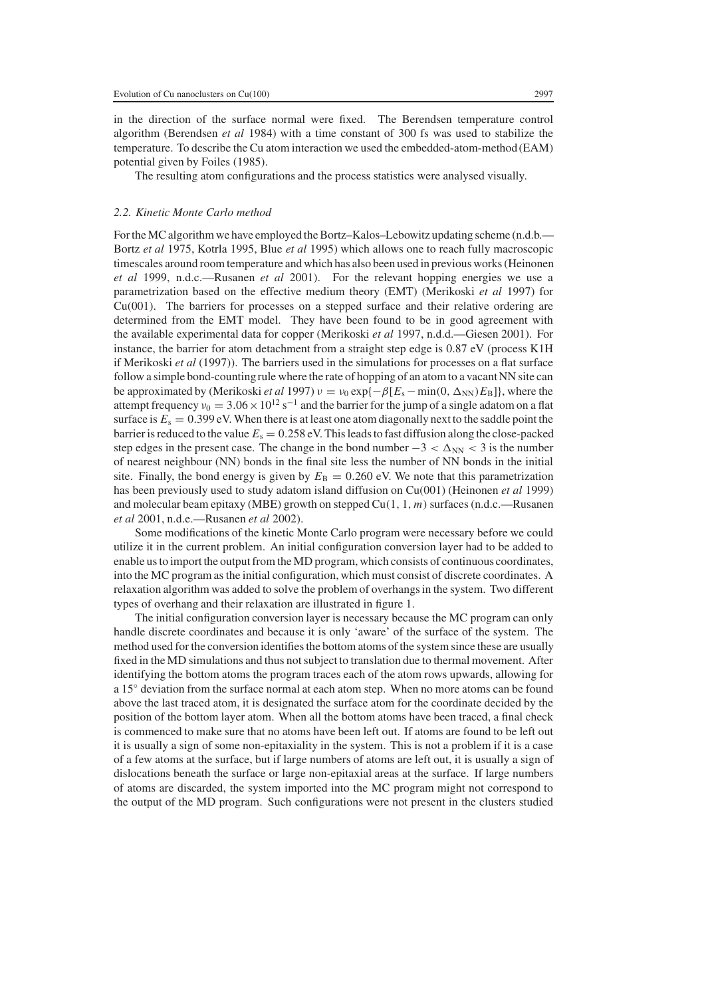in the direction of the surface normal were fixed. The Berendsen temperature control algorithm (Berendsen *et al* 1984) with a time constant of 300 fs was used to stabilize the temperature. To describe the Cu atom interaction we used the embedded-atom-method (EAM) potential given by Foiles (1985).

The resulting atom configurations and the process statistics were analysed visually.

## *2.2. Kinetic Monte Carlo method*

For the MC algorithm we have employed the Bortz–Kalos–Lebowitz updating scheme (n.d.b.— Bortz *et al* 1975, Kotrla 1995, Blue *et al* 1995) which allows one to reach fully macroscopic timescales around room temperature and which has also been used in previous works (Heinonen *et al* 1999, n.d.c.—Rusanen *et al* 2001). For the relevant hopping energies we use a parametrization based on the effective medium theory (EMT) (Merikoski *et al* 1997) for Cu(001). The barriers for processes on a stepped surface and their relative ordering are determined from the EMT model. They have been found to be in good agreement with the available experimental data for copper (Merikoski *et al* 1997, n.d.d.—Giesen 2001). For instance, the barrier for atom detachment from a straight step edge is 0.87 eV (process K1H if Merikoski *et al* (1997)). The barriers used in the simulations for processes on a flat surface follow a simple bond-countingrule where the rate of hopping of an atom to a vacant NN site can be approximated by (Merikoski *et al* 1997)  $v = v_0 \exp{-\beta[E_s - \min(0, \Delta_{NN})E_B]}$ , where the attempt frequency  $v_0 = 3.06 \times 10^{12} \text{ s}^{-1}$  and the barrier for the jump of a single adatom on a flat surface is  $E_s = 0.399$  eV. When there is at least one atom diagonally next to the saddle point the barrier is reduced to the value  $E_s = 0.258$  eV. This leads to fast diffusion along the close-packed step edges in the present case. The change in the bond number  $-3 < \Delta_{NN} < 3$  is the number of nearest neighbour (NN) bonds in the final site less the number of NN bonds in the initial site. Finally, the bond energy is given by  $E_B = 0.260$  eV. We note that this parametrization has been previously used to study adatom island diffusion on Cu(001) (Heinonen *et al* 1999) and molecular beam epitaxy (MBE) growth on stepped Cu(1, 1, *m*) surfaces (n.d.c.—Rusanen *et al* 2001, n.d.e.—Rusanen *et al* 2002).

Some modifications of the kinetic Monte Carlo program were necessary before we could utilize it in the current problem. An initial configuration conversion layer had to be added to enable us to import the output from the MD program, which consists of continuous coordinates, into the MC program as the initial configuration, which must consist of discrete coordinates. A relaxation algorithm was added to solve the problem of overhangs in the system. Two different types of overhang and their relaxation are illustrated in figure 1.

The initial configuration conversion layer is necessary because the MC program can only handle discrete coordinates and because it is only 'aware' of the surface of the system. The method used for the conversion identifies the bottom atoms of the system since these are usually fixed in the MD simulations and thus not subject to translation due to thermal movement. After identifying the bottom atoms the program traces each of the atom rows upwards, allowing for a 15◦ deviation from the surface normal at each atom step. When no more atoms can be found above the last traced atom, it is designated the surface atom for the coordinate decided by the position of the bottom layer atom. When all the bottom atoms have been traced, a final check is commenced to make sure that no atoms have been left out. If atoms are found to be left out it is usually a sign of some non-epitaxiality in the system. This is not a problem if it is a case of a few atoms at the surface, but if large numbers of atoms are left out, it is usually a sign of dislocations beneath the surface or large non-epitaxial areas at the surface. If large numbers of atoms are discarded, the system imported into the MC program might not correspond to the output of the MD program. Such configurations were not present in the clusters studied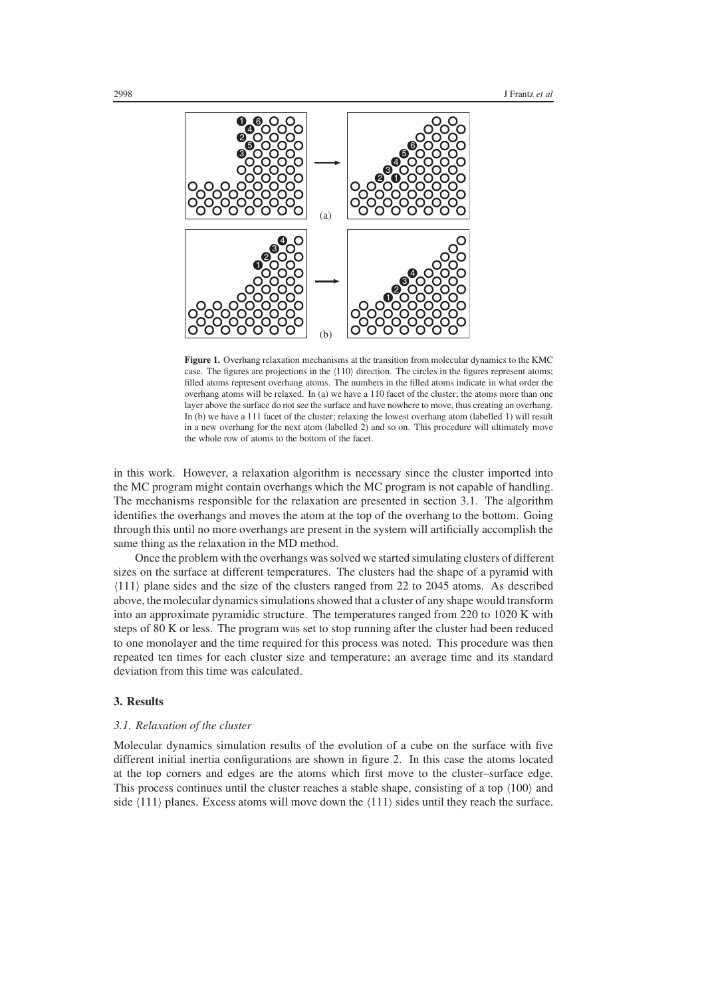

**Figure 1.** Overhang relaxation mechanisms at the transition from molecular dynamics to the KMC case. The figures are projections in the  $(110)$  direction. The circles in the figures represent atoms; filled atoms represent overhang atoms. The numbers in the filled atoms indicate in what order the overhang atoms will be relaxed. In (a) we have a 110 facet of the cluster; the atoms more than one layer above the surface do not see the surface and have nowhere to move, thus creating an overhang. In (b) we have a 111 facet of the cluster; relaxing the lowest overhang atom (labelled 1) will result in a new overhang for the next atom (labelled 2) and so on. This procedure will ultimately move the whole row of atoms to the bottom of the facet.

in this work. However, a relaxation algorithm is necessary since the cluster imported into the MC program might contain overhangs which the MC program is not capable of handling. The mechanisms responsible for the relaxation are presented in section 3.1. The algorithm identifies the overhangs and moves the atom at the top of the overhang to the bottom. Going through this until no more overhangs are present in the system will artificially accomplish the same thing as the relaxation in the MD method.

Once the problem with the overhangs was solved we started simulating clusters of different sizes on the surface at different temperatures. The clusters had the shape of a pyramid with (111) plane sides and the size of the clusters ranged from 22 to 2045 atoms. As described above, the molecular dynamics simulations showed that a cluster of any shape would transform into an approximate pyramidic structure. The temperatures ranged from 220 to 1020 K with steps of 80 K or less. The program was set to stop running after the cluster had been reduced to one monolayer and the time required for this process was noted. This procedure was then repeated ten times for each cluster size and temperature; an average time and its standard deviation from this time was calculated.

# **3. Results**

## *3.1. Relaxation of the cluster*

Molecular dynamics simulation results of the evolution of a cube on the surface with five different initial inertia configurations are shown in figure 2. In this case the atoms located at the top corners and edges are the atoms which first move to the cluster–surface edge. This process continues until the cluster reaches a stable shape, consisting of a top  $\langle 100 \rangle$  and side  $\langle 111 \rangle$  planes. Excess atoms will move down the  $\langle 111 \rangle$  sides until they reach the surface.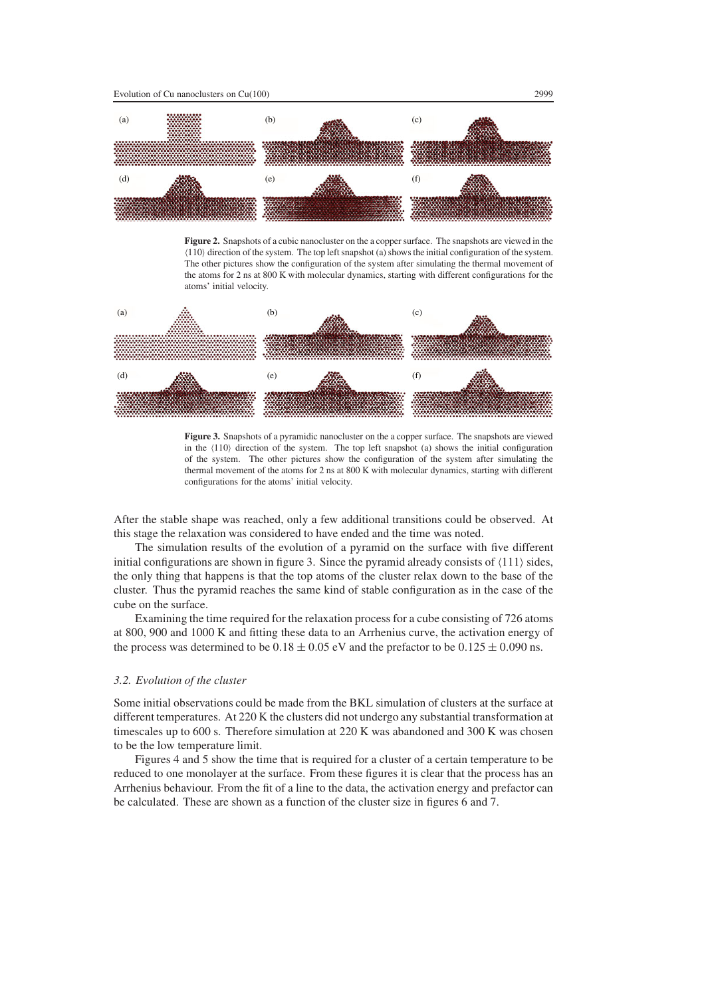

**Figure 2.** Snapshots of a cubic nanocluster on the a copper surface. The snapshots are viewed in the (110) direction of the system. The top left snapshot (a) shows the initial configuration of the system. The other pictures show the configuration of the system after simulating the thermal movement of the atoms for 2 ns at 800 K with molecular dynamics, starting with different configurations for the atoms' initial velocity.



**Figure 3.** Snapshots of a pyramidic nanocluster on the a copper surface. The snapshots are viewed in the  $\langle 110 \rangle$  direction of the system. The top left snapshot (a) shows the initial configuration of the system. The other pictures show the configuration of the system after simulating the thermal movement of the atoms for 2 ns at 800 K with molecular dynamics, starting with different configurations for the atoms' initial velocity.

After the stable shape was reached, only a few additional transitions could be observed. At this stage the relaxation was considered to have ended and the time was noted.

The simulation results of the evolution of a pyramid on the surface with five different initial configurations are shown in figure 3. Since the pyramid already consists of  $\langle 111 \rangle$  sides, the only thing that happens is that the top atoms of the cluster relax down to the base of the cluster. Thus the pyramid reaches the same kind of stable configuration as in the case of the cube on the surface.

Examining the time required for the relaxation process for a cube consisting of 726 atoms at 800, 900 and 1000 K and fitting these data to an Arrhenius curve, the activation energy of the process was determined to be  $0.18 \pm 0.05$  eV and the prefactor to be  $0.125 \pm 0.090$  ns.

#### *3.2. Evolution of the cluster*

Some initial observations could be made from the BKL simulation of clusters at the surface at different temperatures. At 220 K the clusters did not undergo any substantial transformation at timescales up to 600 s. Therefore simulation at 220 K was abandoned and 300 K was chosen to be the low temperature limit.

Figures 4 and 5 show the time that is required for a cluster of a certain temperature to be reduced to one monolayer at the surface. From these figures it is clear that the process has an Arrhenius behaviour. From the fit of a line to the data, the activation energy and prefactor can be calculated. These are shown as a function of the cluster size in figures 6 and 7.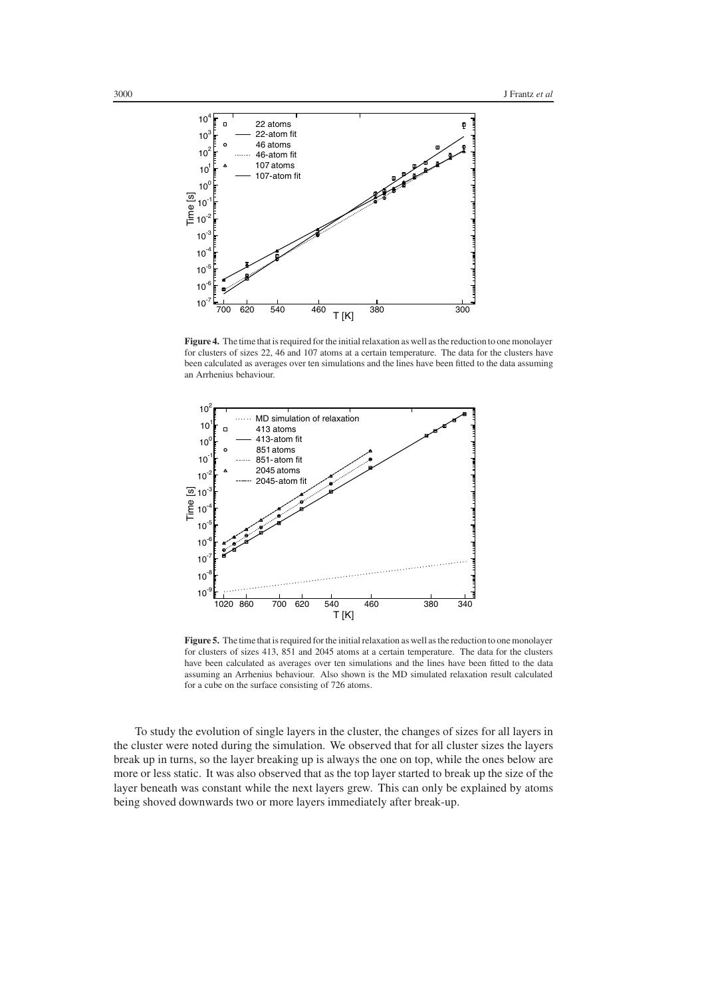

**Figure 4.** The time that is required for the initial relaxation as well as the reduction to one monolayer for clusters of sizes 22, 46 and 107 atoms at a certain temperature. The data for the clusters have been calculated as averages over ten simulations and the lines have been fitted to the data assuming an Arrhenius behaviour.



**Figure 5.** The time that is required for the initial relaxation as well as the reduction to one monolayer for clusters of sizes 413, 851 and 2045 atoms at a certain temperature. The data for the clusters have been calculated as averages over ten simulations and the lines have been fitted to the data assuming an Arrhenius behaviour. Also shown is the MD simulated relaxation result calculated for a cube on the surface consisting of 726 atoms.

To study the evolution of single layers in the cluster, the changes of sizes for all layers in the cluster were noted during the simulation. We observed that for all cluster sizes the layers break up in turns, so the layer breaking up is always the one on top, while the ones below are more or less static. It was also observed that as the top layer started to break up the size of the layer beneath was constant while the next layers grew. This can only be explained by atoms being shoved downwards two or more layers immediately after break-up.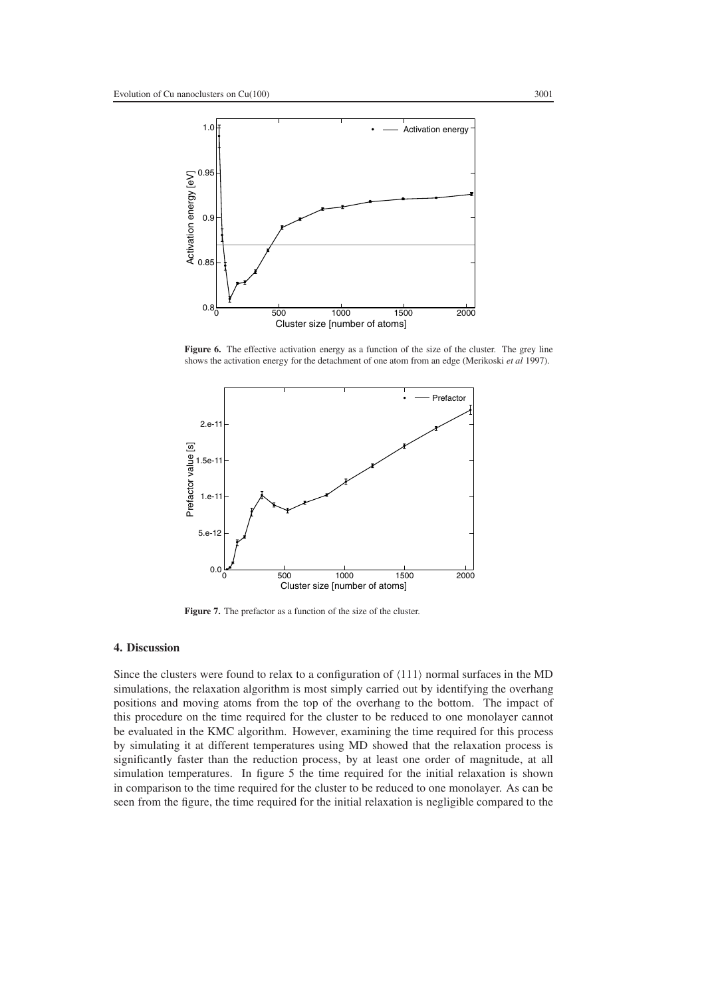

Figure 6. The effective activation energy as a function of the size of the cluster. The grey line shows the activation energy for the detachment of one atom from an edge (Merikoski *et al* 1997).



Figure 7. The prefactor as a function of the size of the cluster.

# **4. Discussion**

Since the clusters were found to relax to a configuration of  $\langle 111 \rangle$  normal surfaces in the MD simulations, the relaxation algorithm is most simply carried out by identifying the overhang positions and moving atoms from the top of the overhang to the bottom. The impact of this procedure on the time required for the cluster to be reduced to one monolayer cannot be evaluated in the KMC algorithm. However, examining the time required for this process by simulating it at different temperatures using MD showed that the relaxation process is significantly faster than the reduction process, by at least one order of magnitude, at all simulation temperatures. In figure 5 the time required for the initial relaxation is shown in comparison to the time required for the cluster to be reduced to one monolayer. As can be seen from the figure, the time required for the initial relaxation is negligible compared to the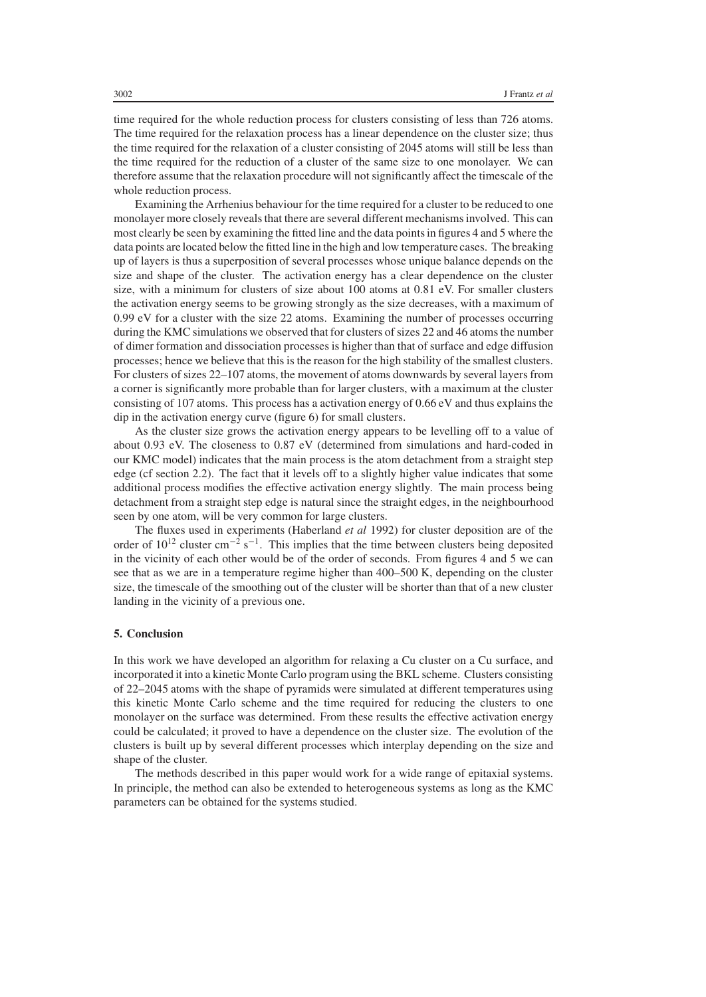time required for the whole reduction process for clusters consisting of less than 726 atoms. The time required for the relaxation process has a linear dependence on the cluster size; thus the time required for the relaxation of a cluster consisting of 2045 atoms will still be less than the time required for the reduction of a cluster of the same size to one monolayer. We can therefore assume that the relaxation procedure will not significantly affect the timescale of the whole reduction process.

Examining the Arrhenius behaviour for the time required for a cluster to be reduced to one monolayer more closely reveals that there are several different mechanisms involved. This can most clearly be seen by examining the fitted line and the data points in figures 4 and 5 where the data points are located below the fitted line in the high and low temperature cases. The breaking up of layers is thus a superposition of several processes whose unique balance depends on the size and shape of the cluster. The activation energy has a clear dependence on the cluster size, with a minimum for clusters of size about 100 atoms at 0.81 eV. For smaller clusters the activation energy seems to be growing strongly as the size decreases, with a maximum of 0.99 eV for a cluster with the size 22 atoms. Examining the number of processes occurring during the KMC simulations we observed that for clusters of sizes 22 and 46 atoms the number of dimer formation and dissociation processes is higher than that of surface and edge diffusion processes; hence we believe that this is the reason for the high stability of the smallest clusters. For clusters of sizes 22–107 atoms, the movement of atoms downwards by several layers from a corner is significantly more probable than for larger clusters, with a maximum at the cluster consisting of 107 atoms. This process has a activation energy of 0.66 eV and thus explains the dip in the activation energy curve (figure 6) for small clusters.

As the cluster size grows the activation energy appears to be levelling off to a value of about 0.93 eV. The closeness to 0.87 eV (determined from simulations and hard-coded in our KMC model) indicates that the main process is the atom detachment from a straight step edge (cf section 2.2). The fact that it levels off to a slightly higher value indicates that some additional process modifies the effective activation energy slightly. The main process being detachment from a straight step edge is natural since the straight edges, in the neighbourhood seen by one atom, will be very common for large clusters.

The fluxes used in experiments (Haberland *et al* 1992) for cluster deposition are of the order of  $10^{12}$  cluster cm<sup>-2</sup> s<sup>-1</sup>. This implies that the time between clusters being deposited in the vicinity of each other would be of the order of seconds. From figures 4 and 5 we can see that as we are in a temperature regime higher than 400–500 K, depending on the cluster size, the timescale of the smoothing out of the cluster will be shorter than that of a new cluster landing in the vicinity of a previous one.

## **5. Conclusion**

In this work we have developed an algorithm for relaxing a Cu cluster on a Cu surface, and incorporated it into a kinetic Monte Carlo program using the BKL scheme. Clusters consisting of 22–2045 atoms with the shape of pyramids were simulated at different temperatures using this kinetic Monte Carlo scheme and the time required for reducing the clusters to one monolayer on the surface was determined. From these results the effective activation energy could be calculated; it proved to have a dependence on the cluster size. The evolution of the clusters is built up by several different processes which interplay depending on the size and shape of the cluster.

The methods described in this paper would work for a wide range of epitaxial systems. In principle, the method can also be extended to heterogeneous systems as long as the KMC parameters can be obtained for the systems studied.